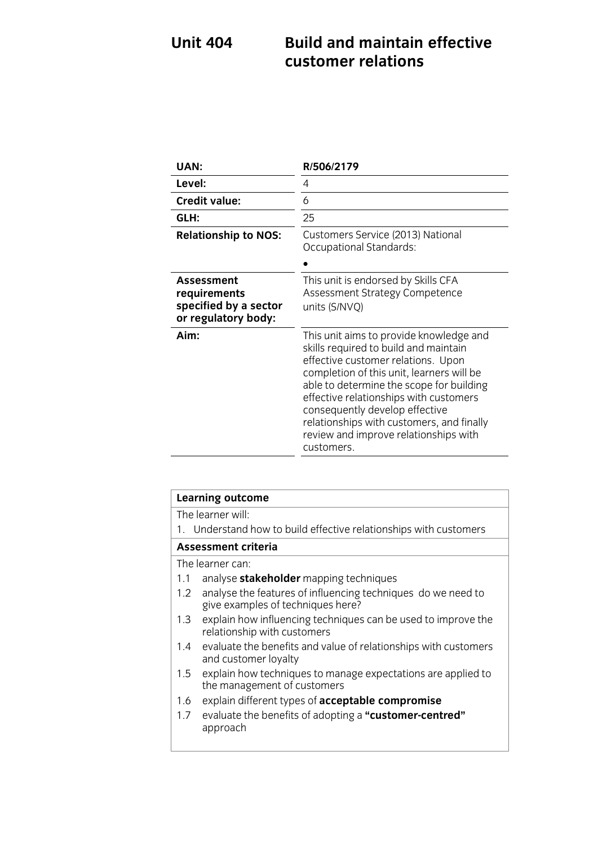## **Unit 4044 Build and maintain effective customer relations**

| UAN:                                                                       | R/506/2179                                                                                                                                                                                                                                                                                                                                                                                      |
|----------------------------------------------------------------------------|-------------------------------------------------------------------------------------------------------------------------------------------------------------------------------------------------------------------------------------------------------------------------------------------------------------------------------------------------------------------------------------------------|
| Level:                                                                     | 4                                                                                                                                                                                                                                                                                                                                                                                               |
| <b>Credit value:</b>                                                       | 6                                                                                                                                                                                                                                                                                                                                                                                               |
| GLH:                                                                       | 25                                                                                                                                                                                                                                                                                                                                                                                              |
| <b>Relationship to NOS:</b>                                                | Customers Service (2013) National<br>Occupational Standards:                                                                                                                                                                                                                                                                                                                                    |
| Assessment<br>requirements<br>specified by a sector<br>or regulatory body: | This unit is endorsed by Skills CFA<br>Assessment Strategy Competence<br>units (S/NVQ)                                                                                                                                                                                                                                                                                                          |
| Aim:                                                                       | This unit aims to provide knowledge and<br>skills required to build and maintain<br>effective customer relations. Upon<br>completion of this unit, learners will be<br>able to determine the scope for building<br>effective relationships with customers<br>consequently develop effective<br>relationships with customers, and finally<br>review and improve relationships with<br>customers. |

| <b>Learning outcome</b>                                                                                  |  |  |
|----------------------------------------------------------------------------------------------------------|--|--|
| The learner will:                                                                                        |  |  |
| 1. Understand how to build effective relationships with customers                                        |  |  |
| Assessment criteria                                                                                      |  |  |
| The learner can:                                                                                         |  |  |
| analyse <b>stakeholder</b> mapping techniques<br>1.1                                                     |  |  |
| analyse the features of influencing techniques do we need to<br>1.2<br>give examples of techniques here? |  |  |
| explain how influencing techniques can be used to improve the<br>1.3<br>relationship with customers      |  |  |
| evaluate the benefits and value of relationships with customers<br>1.4<br>and customer loyalty           |  |  |
| explain how techniques to manage expectations are applied to<br>1.5<br>the management of customers       |  |  |
| explain different types of <b>acceptable compromise</b><br>1.6                                           |  |  |
| evaluate the benefits of adopting a "customer-centred"<br>1.7<br>approach                                |  |  |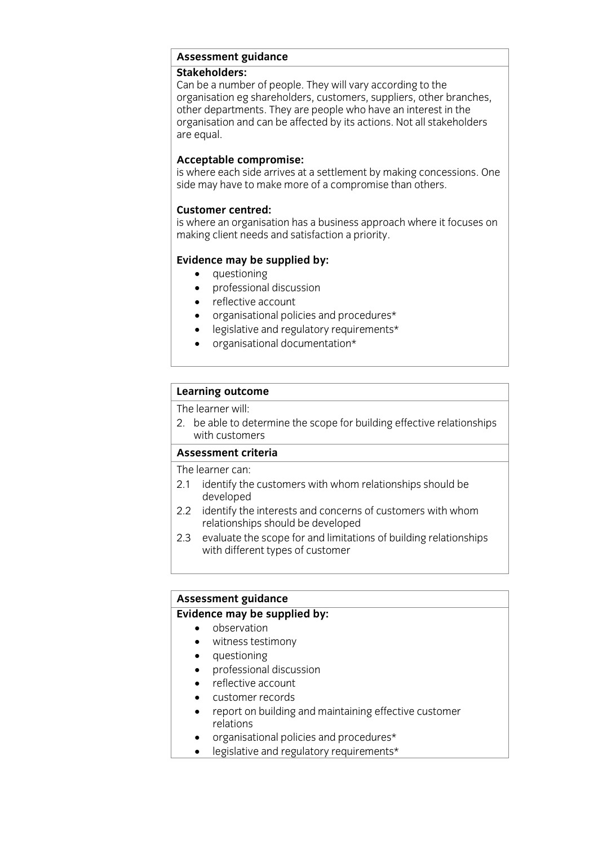## **Assessment guidance**

Can be a number of people. They will vary according to the organisation eg shareholders, customers, suppliers, other branches. other departments. They are people who have an interest in the other departments. They are people through an interest in the organisation and can be affected by its actions. Not all stakeholders are equal.

Acceptable compromise:<br>is where each side arrives at a settlement by making concessions. One side may have to make more of a compromise than others. side may have to make more of a compromise than others.

### **Customer centred:**

is where an organisation has a business approach where it focuses on is where an organisation has a business approach more in coases on<br>making client needs and satisfaction a priority making client needs and satisfaction a priority.

- 
- **questioning**<br>• **professional discussion**  professional discussion
	- reflective account
	- organisational policies and procedures\*
	- legislative and regulatory requirements\*
	- organisational documentation\*

# **Learning outcome**<br>The learner will:

2. be able to determine the scope for building effective relationships with customers

### Assessment criteria

The learner can:

- $21$  identify the developed developed<br>2.2 identify the interests and concerns of customers with whom
- relationships should be developed
- evaluate the scope for and limitations of building relationships  $2.3$  evaluate the scotter in the scotter for an individual value of  $2.3$  evaluations of  $2.3$  evaluations  $2.5$  evaluations of  $2.3$  evaluations of  $2.3$  evaluations of  $2.3$  evaluations of  $2.3$  evaluations of  $2.3$  ev  $\mathcal{L}_{\mathcal{F}}$  with different types of customers of customers of customers of customers of customers of customers of customers of customers of customers of customers of customers of customers of customers of customers of

# **Assessment guidance**

- **Evidence** may be supplied by:
	- witness testimony
	- **questioning**
	- professional discussion
	- reflective account
	- customer records
	- report on building and maintaining effective customer
	- organisational policies and procedures\*<br>• legislative and requistory requirements
	- legislative and regulatory requirements\*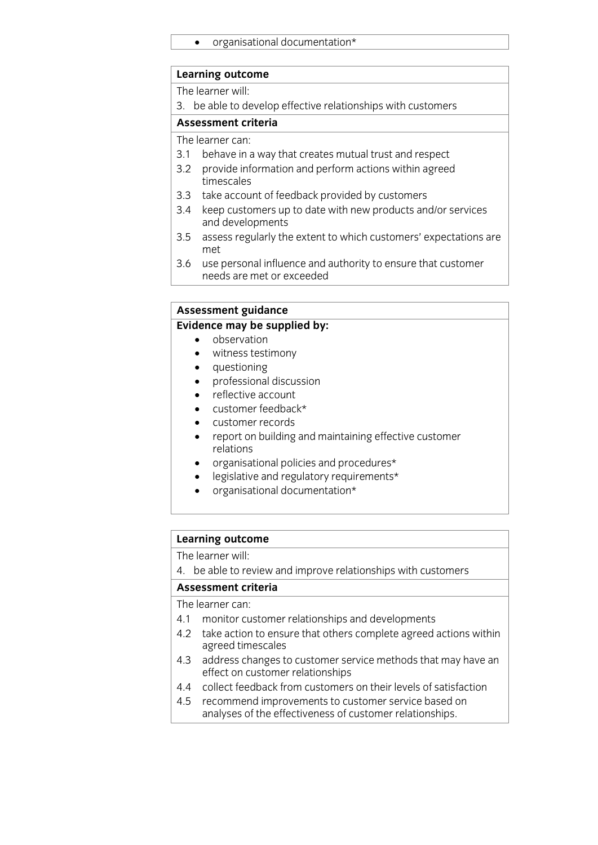### organisational documentation\*

## **Learning outcome**<br>The learner will:

3. be able to develop effective relationships with customers

### Assessment criteria

The learner can:

- 3.1 behave in a way that creates mutual trust and respect
- 3.2 behavide information and perform actions within agreed timescales
- 3.3 take account of feedback provided by customers
- 3.4 keep customers up to date with new products and/or services and developments
- assess regularly the extent to which customers' expectations are  $3.5$  assessment to the extent to which customers  $\frac{1}{2}$
- 3.6 use personal influence and authority to ensure that customer needs are met or exceeded needs are met or exceeded

## **Assessment guidance**

- **Evidence** may be supplied by:
	- witness testimony
	- questioning
	- professional discussion
	- reflective account
	- customer feedback\*
	- customer records
	- report on building and maintaining effective customer
	- organisational policies and procedures\*<br>• legislative and requistory requirements
	- legislative and regulatory requirements\*<br>• organisational documentation\*
	- organisational documentation\*

## **Learning outcome**<br>The learner will:

 $\overline{1}$  he able to re  $\frac{1}{2}$ . because the customers and improve relationships with customers  $\frac{1}{2}$ 

## **Assessment criteria**<br>The learner can:

- 4.1 monitor customer relationships and developments
- 4.2 take action to ensure that others complete agreed actions within agreed timescales
- 4.3 address changes to customer service methods that may have an effect on customer relationships
- 4.4 collect feedback from customers on their levels of satisfaction
- 4.5 recommend improvements to customer service based on A.5 recommend improvements to customer corrico and service based on analyses of the effectiveness of customer relationships analyses of the effectiveness of customer relationships.